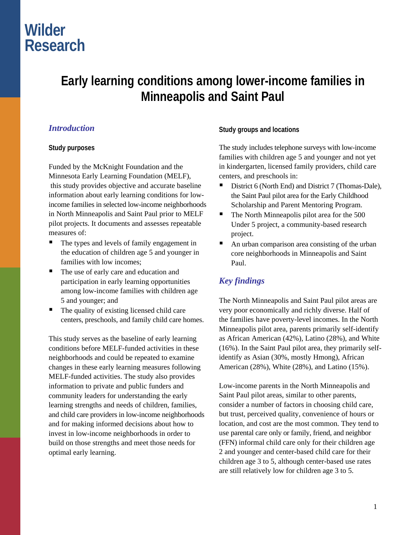# **Wilder Research**

# **Early learning conditions among lower-income families in Minneapolis and Saint Paul**

## *Introduction*

#### **Study purposes**

Funded by the McKnight Foundation and the Minnesota Early Learning Foundation (MELF), this study provides objective and accurate baseline information about early learning conditions for lowincome families in selected low-income neighborhoods in North Minneapolis and Saint Paul prior to MELF pilot projects. It documents and assesses repeatable measures of:

- The types and levels of family engagement in the education of children age 5 and younger in families with low incomes;
- The use of early care and education and participation in early learning opportunities among low-income families with children age 5 and younger; and
- The quality of existing licensed child care centers, preschools, and family child care homes.

This study serves as the baseline of early learning conditions before MELF-funded activities in these neighborhoods and could be repeated to examine changes in these early learning measures following MELF-funded activities. The study also provides information to private and public funders and community leaders for understanding the early learning strengths and needs of children, families, and child care providers in low-income neighborhoods and for making informed decisions about how to invest in low-income neighborhoods in order to build on those strengths and meet those needs for optimal early learning.

#### **Study groups and locations**

The study includes telephone surveys with low-income families with children age 5 and younger and not yet in kindergarten, licensed family providers, child care centers, and preschools in:

- District 6 (North End) and District 7 (Thomas-Dale), the Saint Paul pilot area for the Early Childhood Scholarship and Parent Mentoring Program.
- $\blacksquare$  The North Minneapolis pilot area for the 500 Under 5 project, a community-based research project.
- An urban comparison area consisting of the urban core neighborhoods in Minneapolis and Saint Paul.

## *Key findings*

The North Minneapolis and Saint Paul pilot areas are very poor economically and richly diverse. Half of the families have poverty-level incomes. In the North Minneapolis pilot area, parents primarily self-identify as African American (42%), Latino (28%), and White (16%). In the Saint Paul pilot area, they primarily selfidentify as Asian (30%, mostly Hmong), African American (28%), White (28%), and Latino (15%).

Low-income parents in the North Minneapolis and Saint Paul pilot areas, similar to other parents, consider a number of factors in choosing child care, but trust, perceived quality, convenience of hours or location, and cost are the most common. They tend to use parental care only or family, friend, and neighbor (FFN) informal child care only for their children age 2 and younger and center-based child care for their children age 3 to 5, although center-based use rates are still relatively low for children age 3 to 5.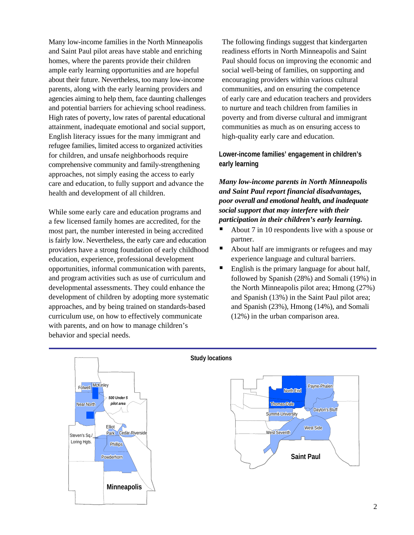Many low-income families in the North Minneapolis and Saint Paul pilot areas have stable and enriching homes, where the parents provide their children ample early learning opportunities and are hopeful about their future. Nevertheless, too many low-income parents, along with the early learning providers and agencies aiming to help them, face daunting challenges and potential barriers for achieving school readiness. High rates of poverty, low rates of parental educational attainment, inadequate emotional and social support, English literacy issues for the many immigrant and refugee families, limited access to organized activities for children, and unsafe neighborhoods require comprehensive community and family-strengthening approaches, not simply easing the access to early care and education, to fully support and advance the health and development of all children.

While some early care and education programs and a few licensed family homes are accredited, for the most part, the number interested in being accredited is fairly low. Nevertheless, the early care and education providers have a strong foundation of early childhood education, experience, professional development opportunities, informal communication with parents, and program activities such as use of curriculum and developmental assessments. They could enhance the development of children by adopting more systematic approaches, and by being trained on standards-based curriculum use, on how to effectively communicate with parents, and on how to manage children's behavior and special needs.

The following findings suggest that kindergarten readiness efforts in North Minneapolis and Saint Paul should focus on improving the economic and social well-being of families, on supporting and encouraging providers within various cultural communities, and on ensuring the competence of early care and education teachers and providers to nurture and teach children from families in poverty and from diverse cultural and immigrant communities as much as on ensuring access to high-quality early care and education.

**Lower-income families' engagement in children's early learning** 

*Many low-income parents in North Minneapolis and Saint Paul report financial disadvantages, poor overall and emotional health, and inadequate social support that may interfere with their participation in their children's early learning.* 

- About 7 in 10 respondents live with a spouse or partner.
- About half are immigrants or refugees and may experience language and cultural barriers.
- English is the primary language for about half, followed by Spanish (28%) and Somali (19%) in the North Minneapolis pilot area; Hmong (27%) and Spanish (13%) in the Saint Paul pilot area; and Spanish (23%), Hmong (14%), and Somali (12%) in the urban comparison area.



**Study locations**

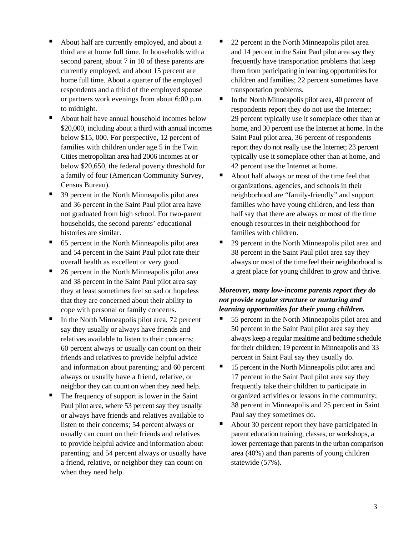- About half are currently employed, and about a third are at home full time. In households with a second parent, about 7 in 10 of these parents are currently employed, and about 15 percent are home full time. About a quarter of the employed respondents and a third of the employed spouse or partners work evenings from about 6:00 p.m. to midnight.
- About half have annual household incomes below \$20,000, including about a third with annual incomes below \$15, 000. For perspective, 12 percent of families with children under age 5 in the Twin Cities metropolitan area had 2006 incomes at or below \$20,650, the federal poverty threshold for a family of four (American Community Survey, Census Bureau).
- 39 percent in the North Minneapolis pilot area and 36 percent in the Saint Paul pilot area have not graduated from high school. For two-parent households, the second parents' educational histories are similar.
- 65 percent in the North Minneapolis pilot area and 54 percent in the Saint Paul pilot rate their overall health as excellent or very good.
- 26 percent in the North Minneapolis pilot area and 38 percent in the Saint Paul pilot area say they at least sometimes feel so sad or hopeless that they are concerned about their ability to cope with personal or family concerns.
- In the North Minneapolis pilot area, 72 percent say they usually or always have friends and relatives available to listen to their concerns; 60 percent always or usually can count on their friends and relatives to provide helpful advice and information about parenting; and 60 percent always or usually have a friend, relative, or neighbor they can count on when they need help.
- The frequency of support is lower in the Saint Paul pilot area, where 53 percent say they usually or always have friends and relatives available to listen to their concerns; 54 percent always or usually can count on their friends and relatives to provide helpful advice and information about parenting; and 54 percent always or usually have a friend, relative, or neighbor they can count on when they need help.
- 22 percent in the North Minneapolis pilot area and 14 percent in the Saint Paul pilot area say they frequently have transportation problems that keep them from participating in learning opportunities for children and families; 22 percent sometimes have transportation problems.
- $\blacksquare$  In the North Minneapolis pilot area, 40 percent of respondents report they do not use the Internet; 29 percent typically use it someplace other than at home, and 30 percent use the Internet at home. In the Saint Paul pilot area, 36 percent of respondents report they do not really use the Internet; 23 percent typically use it someplace other than at home, and 42 percent use the Internet at home.
- About half always or most of the time feel that organizations, agencies, and schools in their neighborhood are "family-friendly" and support families who have young children, and less than half say that there are always or most of the time enough resources in their neighborhood for families with children.
- 29 percent in the North Minneapolis pilot area and 38 percent in the Saint Paul pilot area say they always or most of the time feel their neighborhood is a great place for young children to grow and thrive.

#### *Moreover, many low-income parents report they do not provide regular structure or nurturing and learning opportunities for their young children.*

- 55 percent in the North Minneapolis pilot area and 50 percent in the Saint Paul pilot area say they always keep a regular mealtime and bedtime schedule for their children; 19 percent in Minneapolis and 33 percent in Saint Paul say they usually do.
- 15 percent in the North Minneapolis pilot area and 17 percent in the Saint Paul pilot area say they frequently take their children to participate in organized activities or lessons in the community; 38 percent in Minneapolis and 25 percent in Saint Paul say they sometimes do.
- About 30 percent report they have participated in parent education training, classes, or workshops, a lower percentage than parents in the urban comparison area (40%) and than parents of young children statewide (57%).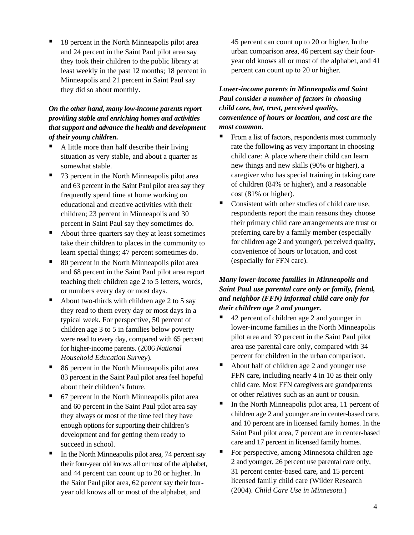18 percent in the North Minneapolis pilot area and 24 percent in the Saint Paul pilot area say they took their children to the public library at least weekly in the past 12 months; 18 percent in Minneapolis and 21 percent in Saint Paul say they did so about monthly.

#### *On the other hand, many low-income parents report providing stable and enriching homes and activities that support and advance the health and development of their young children.*

- A little more than half describe their living situation as very stable, and about a quarter as somewhat stable.
- 73 percent in the North Minneapolis pilot area and 63 percent in the Saint Paul pilot area say they frequently spend time at home working on educational and creative activities with their children; 23 percent in Minneapolis and 30 percent in Saint Paul say they sometimes do.
- About three-quarters say they at least sometimes take their children to places in the community to learn special things; 47 percent sometimes do.
- 80 percent in the North Minneapolis pilot area and 68 percent in the Saint Paul pilot area report teaching their children age 2 to 5 letters, words, or numbers every day or most days.
- About two-thirds with children age 2 to 5 say they read to them every day or most days in a typical week. For perspective, 50 percent of children age 3 to 5 in families below poverty were read to every day, compared with 65 percent for higher-income parents. (2006 *National Household Education Survey*).
- 86 percent in the North Minneapolis pilot area 83 percent in the Saint Paul pilot area feel hopeful about their children's future.
- 67 percent in the North Minneapolis pilot area and 60 percent in the Saint Paul pilot area say they always or most of the time feel they have enough options for supporting their children's development and for getting them ready to succeed in school.
- In the North Minneapolis pilot area, 74 percent say their four-year old knows all or most of the alphabet, and 44 percent can count up to 20 or higher. In the Saint Paul pilot area, 62 percent say their fouryear old knows all or most of the alphabet, and

45 percent can count up to 20 or higher. In the urban comparison area, 46 percent say their fouryear old knows all or most of the alphabet, and 41 percent can count up to 20 or higher.

### *Lower-income parents in Minneapolis and Saint Paul consider a number of factors in choosing child care, but, trust, perceived quality, convenience of hours or location, and cost are the most common.*

- From a list of factors, respondents most commonly rate the following as very important in choosing child care: A place where their child can learn new things and new skills (90% or higher), a caregiver who has special training in taking care of children (84% or higher), and a reasonable cost (81% or higher).
- Consistent with other studies of child care use, respondents report the main reasons they choose their primary child care arrangements are trust or preferring care by a family member (especially for children age 2 and younger), perceived quality, convenience of hours or location, and cost (especially for FFN care).

#### *Many lower-income families in Minneapolis and Saint Paul use parental care only or family, friend, and neighbor (FFN) informal child care only for their children age 2 and younger.*

- 42 percent of children age 2 and younger in lower-income families in the North Minneapolis pilot area and 39 percent in the Saint Paul pilot area use parental care only, compared with 34 percent for children in the urban comparison.
- About half of children age 2 and younger use FFN care, including nearly 4 in 10 as their only child care. Most FFN caregivers are grandparents or other relatives such as an aunt or cousin.
- In the North Minneapolis pilot area, 11 percent of children age 2 and younger are in center-based care, and 10 percent are in licensed family homes. In the Saint Paul pilot area, 7 percent are in center-based care and 17 percent in licensed family homes.
- For perspective, among Minnesota children age 2 and younger, 26 percent use parental care only, 31 percent center-based care, and 15 percent licensed family child care (Wilder Research (2004). *Child Care Use in Minnesota.*)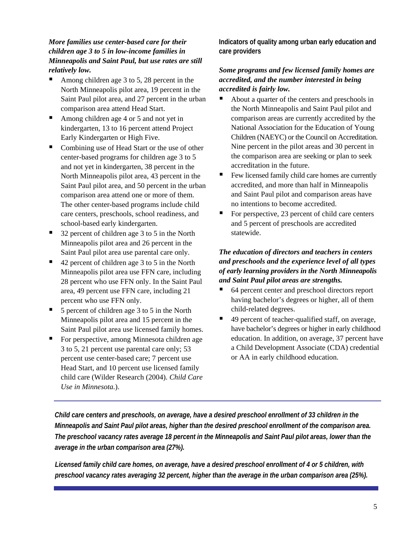#### *More families use center-based care for their children age 3 to 5 in low-income families in Minneapolis and Saint Paul, but use rates are still relatively low.*

- Among children age 3 to 5, 28 percent in the North Minneapolis pilot area, 19 percent in the Saint Paul pilot area, and 27 percent in the urban comparison area attend Head Start.
- Among children age 4 or 5 and not yet in kindergarten, 13 to 16 percent attend Project Early Kindergarten or High Five.
- Combining use of Head Start or the use of other center-based programs for children age 3 to 5 and not yet in kindergarten, 38 percent in the North Minneapolis pilot area, 43 percent in the Saint Paul pilot area, and 50 percent in the urban comparison area attend one or more of them. The other center-based programs include child care centers, preschools, school readiness, and school-based early kindergarten.
- 32 percent of children age 3 to 5 in the North Minneapolis pilot area and 26 percent in the Saint Paul pilot area use parental care only.
- 42 percent of children age 3 to 5 in the North Minneapolis pilot area use FFN care, including 28 percent who use FFN only. In the Saint Paul area, 49 percent use FFN care, including 21 percent who use FFN only.
- $\blacksquare$  5 percent of children age 3 to 5 in the North Minneapolis pilot area and 15 percent in the Saint Paul pilot area use licensed family homes.
- For perspective, among Minnesota children age 3 to 5, 21 percent use parental care only; 53 percent use center-based care; 7 percent use Head Start, and 10 percent use licensed family child care (Wilder Research (2004). *Child Care Use in Minnesota.*).

**Indicators of quality among urban early education and care providers** 

#### *Some programs and few licensed family homes are accredited, and the number interested in being accredited is fairly low.*

- About a quarter of the centers and preschools in the North Minneapolis and Saint Paul pilot and comparison areas are currently accredited by the National Association for the Education of Young Children (NAEYC) or the Council on Accreditation. Nine percent in the pilot areas and 30 percent in the comparison area are seeking or plan to seek accreditation in the future.
- Few licensed family child care homes are currently accredited, and more than half in Minneapolis and Saint Paul pilot and comparison areas have no intentions to become accredited.
- For perspective, 23 percent of child care centers and 5 percent of preschools are accredited statewide.

#### *The education of directors and teachers in centers and preschools and the experience level of all types of early learning providers in the North Minneapolis and Saint Paul pilot areas are strengths.*

- 64 percent center and preschool directors report having bachelor's degrees or higher, all of them child-related degrees.
- 49 percent of teacher-qualified staff, on average, have bachelor's degrees or higher in early childhood education. In addition, on average, 37 percent have a Child Development Associate (CDA) credential or AA in early childhood education.

*Child care centers and preschools, on average, have a desired preschool enrollment of 33 children in the Minneapolis and Saint Paul pilot areas, higher than the desired preschool enrollment of the comparison area. The preschool vacancy rates average 18 percent in the Minneapolis and Saint Paul pilot areas, lower than the average in the urban comparison area (27%).* 

*Licensed family child care homes, on average, have a desired preschool enrollment of 4 or 5 children, with preschool vacancy rates averaging 32 percent, higher than the average in the urban comparison area (25%).*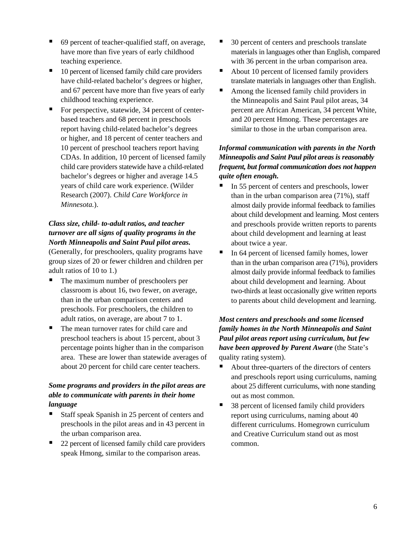- 69 percent of teacher-qualified staff, on average, have more than five years of early childhood teaching experience.
- 10 percent of licensed family child care providers have child-related bachelor's degrees or higher, and 67 percent have more than five years of early childhood teaching experience.
- For perspective, statewide, 34 percent of centerbased teachers and 68 percent in preschools report having child-related bachelor's degrees or higher, and 18 percent of center teachers and 10 percent of preschool teachers report having CDAs. In addition, 10 percent of licensed family child care providers statewide have a child-related bachelor's degrees or higher and average 14.5 years of child care work experience. (Wilder Research (2007). *Child Care Workforce in Minnesota.*).

### *Class size, child- to-adult ratios, and teacher turnover are all signs of quality programs in the North Minneapolis and Saint Paul pilot areas.*

(Generally, for preschoolers, quality programs have group sizes of 20 or fewer children and children per adult ratios of 10 to 1.)

- The maximum number of preschoolers per classroom is about 16, two fewer, on average, than in the urban comparison centers and preschools. For preschoolers, the children to adult ratios, on average, are about 7 to 1.
- The mean turnover rates for child care and preschool teachers is about 15 percent, about 3 percentage points higher than in the comparison area. These are lower than statewide averages of about 20 percent for child care center teachers.

### *Some programs and providers in the pilot areas are able to communicate with parents in their home language*

- Staff speak Spanish in 25 percent of centers and preschools in the pilot areas and in 43 percent in the urban comparison area.
- 22 percent of licensed family child care providers speak Hmong, similar to the comparison areas.
- 30 percent of centers and preschools translate materials in languages other than English, compared with 36 percent in the urban comparison area.
- About 10 percent of licensed family providers translate materials in languages other than English.
- Among the licensed family child providers in the Minneapolis and Saint Paul pilot areas, 34 percent are African American, 34 percent White, and 20 percent Hmong. These percentages are similar to those in the urban comparison area.

#### *Informal communication with parents in the North Minneapolis and Saint Paul pilot areas is reasonably frequent, but formal communication does not happen quite often enough.*

- In 55 percent of centers and preschools, lower than in the urban comparison area (71%), staff almost daily provide informal feedback to families about child development and learning. Most centers and preschools provide written reports to parents about child development and learning at least about twice a year.
- $\blacksquare$  In 64 percent of licensed family homes, lower than in the urban comparison area (71%), providers almost daily provide informal feedback to families about child development and learning. About two-thirds at least occasionally give written reports to parents about child development and learning.

### *Most centers and preschools and some licensed family homes in the North Minneapolis and Saint Paul pilot areas report using curriculum, but few have been approved by Parent Aware* (the State's quality rating system).

- About three-quarters of the directors of centers and preschools report using curriculums, naming about 25 different curriculums, with none standing out as most common.
- 38 percent of licensed family child providers report using curriculums, naming about 40 different curriculums. Homegrown curriculum and Creative Curriculum stand out as most common.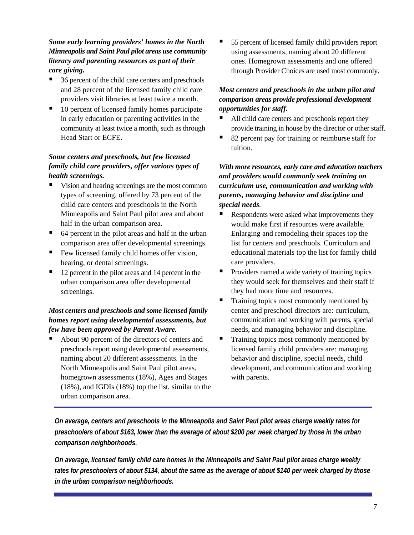*Some early learning providers' homes in the North Minneapolis and Saint Paul pilot areas use community literacy and parenting resources as part of their care giving.* 

- 36 percent of the child care centers and preschools and 28 percent of the licensed family child care providers visit libraries at least twice a month.
- 10 percent of licensed family homes participate in early education or parenting activities in the community at least twice a month, such as through Head Start or ECFE.

### *Some centers and preschools, but few licensed family child care providers, offer various types of health screenings.*

- Vision and hearing screenings are the most common types of screening, offered by 73 percent of the child care centers and preschools in the North Minneapolis and Saint Paul pilot area and about half in the urban comparison area.
- 64 percent in the pilot areas and half in the urban comparison area offer developmental screenings.
- $\blacksquare$  Few licensed family child homes offer vision, hearing, or dental screenings.
- 12 percent in the pilot areas and 14 percent in the urban comparison area offer developmental screenings.

#### *Most centers and preschools and some licensed family homes report using developmental assessments, but few have been approved by Parent Aware.*

 About 90 percent of the directors of centers and preschools report using developmental assessments, naming about 20 different assessments. In the North Minneapolis and Saint Paul pilot areas, homegrown assessments (18%), Ages and Stages (18%), and IGDIs (18%) top the list, similar to the urban comparison area.

 55 percent of licensed family child providers report using assessments, naming about 20 different ones. Homegrown assessments and one offered through Provider Choices are used most commonly.

### *Most centers and preschools in the urban pilot and comparison areas provide professional development opportunities for staff.*

- All child care centers and preschools report they provide training in house by the director or other staff.
- 82 percent pay for training or reimburse staff for tuition.

*With more resources, early care and education teachers and providers would commonly seek training on curriculum use, communication and working with parents, managing behavior and discipline and special needs.* 

- Respondents were asked what improvements they would make first if resources were available. Enlarging and remodeling their spaces top the list for centers and preschools. Curriculum and educational materials top the list for family child care providers.
- **Providers named a wide variety of training topics** they would seek for themselves and their staff if they had more time and resources.
- $\blacksquare$  Training topics most commonly mentioned by center and preschool directors are: curriculum, communication and working with parents, special needs, and managing behavior and discipline.
- $\blacksquare$  Training topics most commonly mentioned by licensed family child providers are: managing behavior and discipline, special needs, child development, and communication and working with parents.

*On average, centers and preschools in the Minneapolis and Saint Paul pilot areas charge weekly rates for preschoolers of about \$163, lower than the average of about \$200 per week charged by those in the urban comparison neighborhoods.* 

*On average, licensed family child care homes in the Minneapolis and Saint Paul pilot areas charge weekly rates for preschoolers of about \$134, about the same as the average of about \$140 per week charged by those in the urban comparison neighborhoods.*